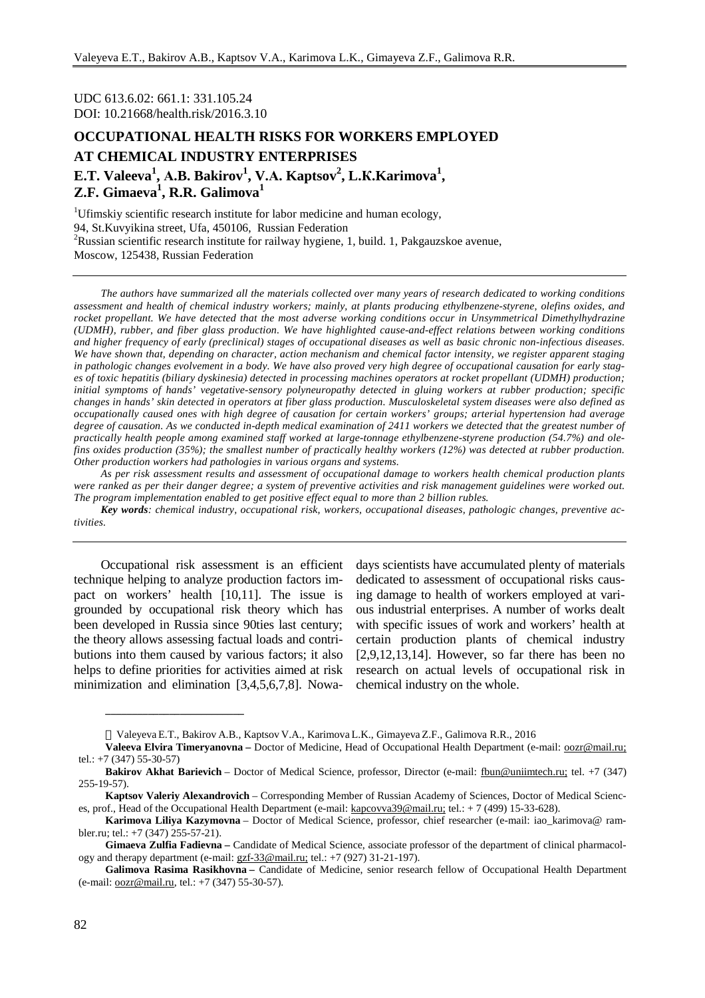UDC 613.6.02: 661.1: 331.105.24 DOI: 10.21668/health.risk/2016.3.10

# **OCCUPATIONAL HEALTH RISKS FOR WORKERS EMPLOYED AT CHEMICAL INDUSTRY ENTERPRISES E.T. Valeeva<sup>1</sup> , А.B. Bakirov<sup>1</sup> , V.А. Kaptsov<sup>2</sup> , L.К.Karimova<sup>1</sup> , Z.F. Gimaeva<sup>1</sup> , R.R. Galimova<sup>1</sup>**

<sup>1</sup>Ufimskiy scientific research institute for labor medicine and human ecology, 94, St.Kuvyikina street, Ufa, 450106, Russian Federation <sup>2</sup>Russian scientific research institute for railway hygiene, 1, build. 1, Pakgauzskoe avenue, Moscow, 125438, Russian Federation

The authors have summarized all the materials collected over many years of research dedicated to working conditions assessment and health of chemical industry workers; mainly, at plants producing ethylbenzene-styrene, olefins oxides, and *rocket propellant. We have detected that the most adverse working conditions occur in Unsymmetrical Dimethylhydrazine (UDMH), rubber, and fiber glass production. We have highlighted cause-and-effect relations between working conditions*  and higher frequency of early (preclinical) stages of occupational diseases as well as basic chronic non-infectious diseases. We have shown that, depending on character, action mechanism and chemical factor intensity, we register apparent staging in pathologic changes evolvement in a body. We have also proved very high degree of occupational causation for early stag*es of toxic hepatitis (biliary dyskinesia) detected in processing machines operators at rocket propellant (UDMH) production; initial symptoms of hands' vegetative-sensory polyneuropathy detected in gluing workers at rubber production; specific*  changes in hands' skin detected in operators at fiber glass production. Musculoskeletal system diseases were also defined as occupationally caused ones with high degree of causation for certain workers' groups; arterial hypertension had average degree of causation. As we conducted in-depth medical examination of 2411 workers we detected that the greatest number of *practically health people among examined staff worked at large-tonnage ethylbenzene-styrene production (54.7%) and ole*fins oxides production (35%); the smallest number of practically healthy workers (12%) was detected at rubber production. *Other production workers had pathologies in various organs and systems.* 

As per risk assessment results and assessment of occupational damage to workers health chemical production plants were ranked as per their danger degree; a system of preventive activities and risk management guidelines were worked out. *The program implementation enabled to get positive effect equal to more than 2 billion rubles.* 

*Key words: chemical industry, occupational risk, workers, occupational diseases, pathologic changes, preventive activities.* 

Occupational risk assessment is an efficient technique helping to analyze production factors impact on workers' health [10,11]. The issue is grounded by occupational risk theory which has been developed in Russia since 90ties last century; the theory allows assessing factual loads and contributions into them caused by various factors; it also helps to define priorities for activities aimed at risk minimization and elimination [3,4,5,6,7,8]. Nowa-

**\_\_\_\_\_\_\_\_\_\_\_\_\_\_\_\_\_\_\_\_\_\_\_\_\_\_** 

days scientists have accumulated plenty of materials dedicated to assessment of occupational risks causing damage to health of workers employed at various industrial enterprises. A number of works dealt with specific issues of work and workers' health at certain production plants of chemical industry  $[2,9,12,13,14]$ . However, so far there has been no research on actual levels of occupational risk in chemical industry on the whole.

Valeyeva E.T., Bakirov A.B., Kaptsov V.A., Karimova L.K., Gimayeva Z.F., Galimova R.R., 2016

**Valeeva Elvira Timeryanovna –** Doctor of Medicine, Head of Occupational Health Department (e-mail: [oozr@mail.ru;](mailto:oozr@mail.ru;) tel.: +7 (347) 55-30-57)

**Bakirov Akhat Barievich** – Doctor of Medical Science, professor, Director (e-mail: [fbun@uniimtech.ru;](mailto:fbun@uniimtech.ru;) tel. +7 (347) 255-19-57).

**Kaptsov Valeriy Alexandrovich** – Corresponding Member of Russian Academy of Sciences, Doctor of Medical Sciences, prof., Head of the Occupational Health Department (e-mail: [kapcovva39@mail.ru;](mailto:kapcovva39@mail.ru;) tel.: + 7 (499) 15-33-628).

**Karimova Liliya Kazymovna** – Doctor of Medical Science, professor, chief researcher (e-mail: iao\_karimova@ rambler.ru; tel.: +7 (347) 255-57-21).

**Gimaeva Zulfia Fadievna –** Candidate of Medical Science, associate professor of the department of clinical pharmacology and therapy department (e-mail: [gzf-33@mail.ru;](mailto:gzf-33@mail.ru;) tel.: +7 (927) 31-21-197).

**Galimova Rasima Rasikhovna –** Candidate of Medicine, senior research fellow of Occupational Health Department (e-mail: [oozr@mail.ru](mailto:oozr@mail.ru), tel.: +7 (347) 55-30-57).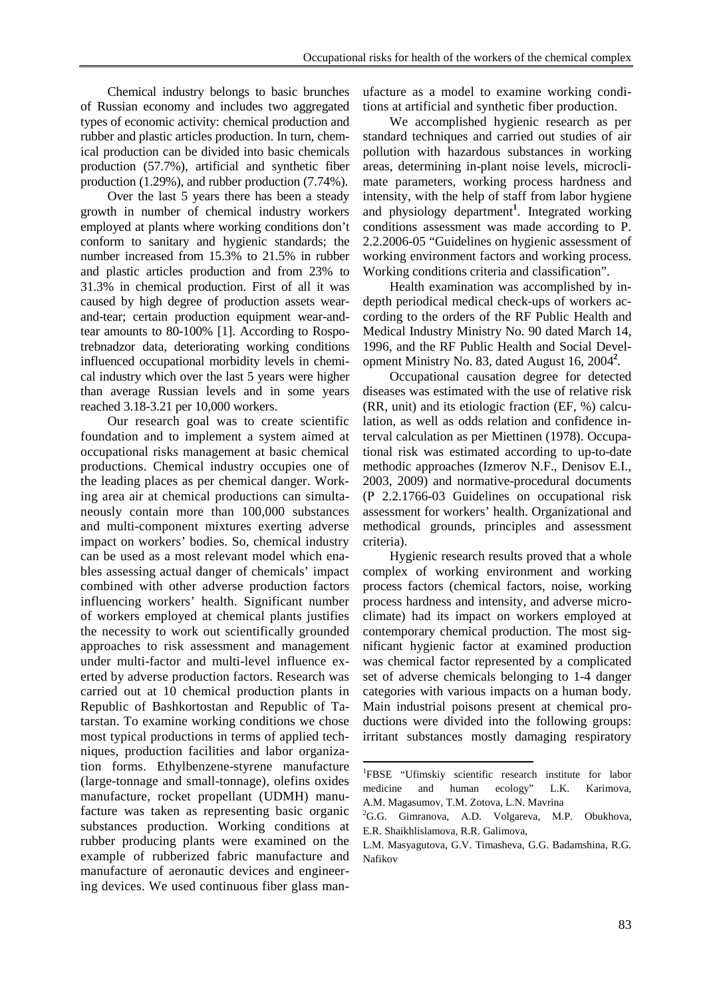Chemical industry belongs to basic brunches of Russian economy and includes two aggregated types of economic activity: chemical production and rubber and plastic articles production. In turn, chemical production can be divided into basic chemicals production (57.7%), artificial and synthetic fiber production (1.29%), and rubber production (7.74%).

Over the last 5 years there has been a steady growth in number of chemical industry workers employed at plants where working conditions don't conform to sanitary and hygienic standards; the number increased from 15.3% to 21.5% in rubber and plastic articles production and from 23% to 31.3% in chemical production. First of all it was caused by high degree of production assets wearand-tear; certain production equipment wear-andtear amounts to 80-100% [1]. According to Rospotrebnadzor data, deteriorating working conditions influenced occupational morbidity levels in chemical industry which over the last 5 years were higher than average Russian levels and in some years reached 3.18-3.21 per 10,000 workers.

Our research goal was to create scientific foundation and to implement a system aimed at occupational risks management at basic chemical productions. Chemical industry occupies one of the leading places as per chemical danger. Working area air at chemical productions can simultaneously contain more than 100,000 substances and multi-component mixtures exerting adverse impact on workers' bodies. So, chemical industry can be used as a most relevant model which enables assessing actual danger of chemicals' impact combined with other adverse production factors influencing workers' health. Significant number of workers employed at chemical plants justifies the necessity to work out scientifically grounded approaches to risk assessment and management under multi-factor and multi-level influence exerted by adverse production factors. Research was carried out at 10 chemical production plants in Republic of Bashkortostan and Republic of Tatarstan. To examine working conditions we chose most typical productions in terms of applied techniques, production facilities and labor organization forms. Ethylbenzene-styrene manufacture (large-tonnage and small-tonnage), olefins oxides manufacture, rocket propellant (UDMH) manufacture was taken as representing basic organic substances production. Working conditions at rubber producing plants were examined on the example of rubberized fabric manufacture and manufacture of aeronautic devices and engineering devices. We used continuous fiber glass manufacture as a model to examine working conditions at artificial and synthetic fiber production.

We accomplished hygienic research as per standard techniques and carried out studies of air pollution with hazardous substances in working areas, determining in-plant noise levels, microclimate parameters, working process hardness and intensity, with the help of staff from labor hygiene and physiology department**<sup>1</sup>** . Integrated working conditions assessment was made according to P. 2.2.2006-05 "Guidelines on hygienic assessment of working environment factors and working process. Working conditions criteria and classification".

Health examination was accomplished by indepth periodical medical check-ups of workers according to the orders of the RF Public Health and Medical Industry Ministry No. 90 dated March 14, 1996, and the RF Public Health and Social Development Ministry No. 83, dated August 16, 2004**<sup>2</sup>** *.*

Occupational causation degree for detected diseases was estimated with the use of relative risk (RR, unit) and its etiologic fraction (EF, %) calculation, as well as odds relation and confidence interval calculation as per Miettinen (1978). Occupational risk was estimated according to up-to-date methodic approaches (Izmerov N.F., Denisov E.I., 2003, 2009) and normative-procedural documents (Р 2.2.1766-03 Guidelines on occupational risk assessment for workers' health. Organizational and methodical grounds, principles and assessment criteria).

Hygienic research results proved that a whole complex of working environment and working process factors (chemical factors, noise, working process hardness and intensity, and adverse microclimate) had its impact on workers employed at contemporary chemical production. The most significant hygienic factor at examined production was chemical factor represented by a complicated set of adverse chemicals belonging to 1-4 danger categories with various impacts on a human body. Main industrial poisons present at chemical productions were divided into the following groups: irritant substances mostly damaging respiratory

l

<sup>1</sup> FBSE "Ufimskiy scientific research institute for labor medicine and human ecology" L.K. Karimova, A.M. Magasumov, T.M. Zotova, L.N. Mavrina

<sup>&</sup>lt;sup>2</sup>G.G. Gimranova, A.D. Volgareva, M.P. Obukhova, E.R. Shaikhlislamova, R.R. Galimova,

L.М. Masyagutova, G.V. Timasheva, G.G. Badamshina, R.G. Nafikov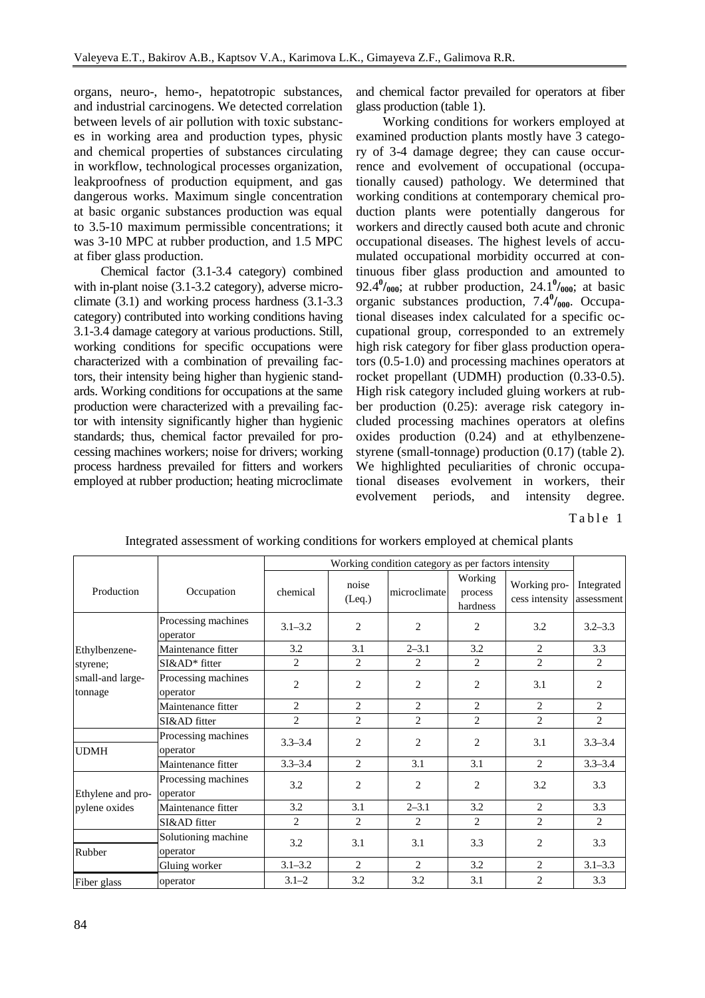organs, neuro-, hemo-, hepatotropic substances, and industrial carcinogens. We detected correlation between levels of air pollution with toxic substances in working area and production types, physic and chemical properties of substances circulating in workflow, technological processes organization, leakproofness of production equipment, and gas dangerous works. Maximum single concentration at basic organic substances production was equal to 3.5-10 maximum permissible concentrations; it was 3-10 MPC at rubber production, and 1.5 MPC at fiber glass production.

Chemical factor (3.1-3.4 category) combined with in-plant noise  $(3.1-3.2 \text{ category})$ , adverse microclimate (3.1) and working process hardness (3.1-3.3 category) contributed into working conditions having 3.1-3.4 damage category at various productions. Still, working conditions for specific occupations were characterized with a combination of prevailing factors, their intensity being higher than hygienic standards. Working conditions for occupations at the same production were characterized with a prevailing factor with intensity significantly higher than hygienic standards; thus, chemical factor prevailed for processing machines workers; noise for drivers; working process hardness prevailed for fitters and workers employed at rubber production; heating microclimate and chemical factor prevailed for operators at fiber glass production (table 1).

Working conditions for workers employed at examined production plants mostly have 3 category of 3-4 damage degree; they can cause occurrence and evolvement of occupational (occupationally caused) pathology. We determined that working conditions at contemporary chemical production plants were potentially dangerous for workers and directly caused both acute and chronic occupational diseases. The highest levels of accumulated occupational morbidity occurred at continuous fiber glass production and amounted to 92.4 $\frac{0}{000}$ ; at rubber production, 24.1 $\frac{0}{000}$ ; at basic organic substances production, 7.4 $\frac{0}{000}$ . Occupational diseases index calculated for a specific occupational group, corresponded to an extremely high risk category for fiber glass production operators (0.5-1.0) and processing machines operators at rocket propellant (UDMH) production (0.33-0.5). High risk category included gluing workers at rubber production (0.25): average risk category included processing machines operators at olefins oxides production (0.24) and at ethylbenzenestyrene (small-tonnage) production (0.17) (table 2). We highlighted peculiarities of chronic occupational diseases evolvement in workers, their evolvement periods, and intensity degree.

Table 1

|                                    |                                 | Working condition category as per factors intensity |                |                             |                                |                                |                             |
|------------------------------------|---------------------------------|-----------------------------------------------------|----------------|-----------------------------|--------------------------------|--------------------------------|-----------------------------|
| Production                         | Occupation                      | chemical                                            | noise<br>(Eq.) | microclimate                | Working<br>process<br>hardness | Working pro-<br>cess intensity | Integrated<br>assessment    |
|                                    | Processing machines<br>operator | $3.1 - 3.2$                                         | 2              | 2                           | 2                              | 3.2                            | $3.2 - 3.3$                 |
| Ethylbenzene-                      | Maintenance fitter              | 3.2                                                 | 3.1            | $2 - 3.1$                   | 3.2                            | 2                              | 3.3                         |
| styrene;                           | SI&AD* fitter                   | $\overline{2}$                                      | $\overline{c}$ | $\mathcal{D}_{\mathcal{L}}$ | 2                              | $\overline{2}$                 | $\mathcal{D}_{\mathcal{L}}$ |
| small-and large-<br>tonnage        | Processing machines<br>operator | $\overline{c}$                                      | $\overline{c}$ | $\overline{2}$              | $\overline{c}$                 | 3.1                            | $\overline{c}$              |
|                                    | Maintenance fitter              | $\overline{2}$                                      | 2              | $\overline{2}$              | 2                              | $\overline{2}$                 | $\overline{2}$              |
|                                    | SI&AD fitter                    | $\overline{2}$                                      | $\overline{2}$ | 2                           | $\overline{c}$                 | $\overline{2}$                 | $\overline{2}$              |
| <b>UDMH</b>                        | Processing machines<br>operator | $3.3 - 3.4$                                         | $\overline{2}$ | $\overline{c}$              | $\overline{c}$                 | 3.1                            | $3.3 - 3.4$                 |
|                                    | Maintenance fitter              | $3.3 - 3.4$                                         | 2              | 3.1                         | 3.1                            | $\overline{2}$                 | $3.3 - 3.4$                 |
| Ethylene and pro-<br>pylene oxides | Processing machines<br>operator | 3.2                                                 | $\overline{c}$ | $\overline{c}$              | $\overline{c}$                 | 3.2                            | 3.3                         |
|                                    | Maintenance fitter              | 3.2                                                 | 3.1            | $2 - 3.1$                   | 3.2                            | $\overline{2}$                 | 3.3                         |
|                                    | SI&AD fitter                    | $\overline{2}$                                      | 2              | $\overline{c}$              | $\overline{2}$                 | $\overline{2}$                 | $\mathcal{D}_{\mathcal{L}}$ |
| Rubber                             | Solutioning machine<br>operator | 3.2                                                 | 3.1            | 3.1                         | 3.3                            | $\overline{c}$                 | 3.3                         |
|                                    | Gluing worker                   | $3.1 - 3.2$                                         | 2              | 2                           | 3.2                            | $\overline{2}$                 | $3.1 - 3.3$                 |
| Fiber glass                        | operator                        | $3.1 - 2$                                           | 3.2            | 3.2                         | 3.1                            | $\overline{2}$                 | 3.3                         |

Integrated assessment of working conditions for workers employed at chemical plants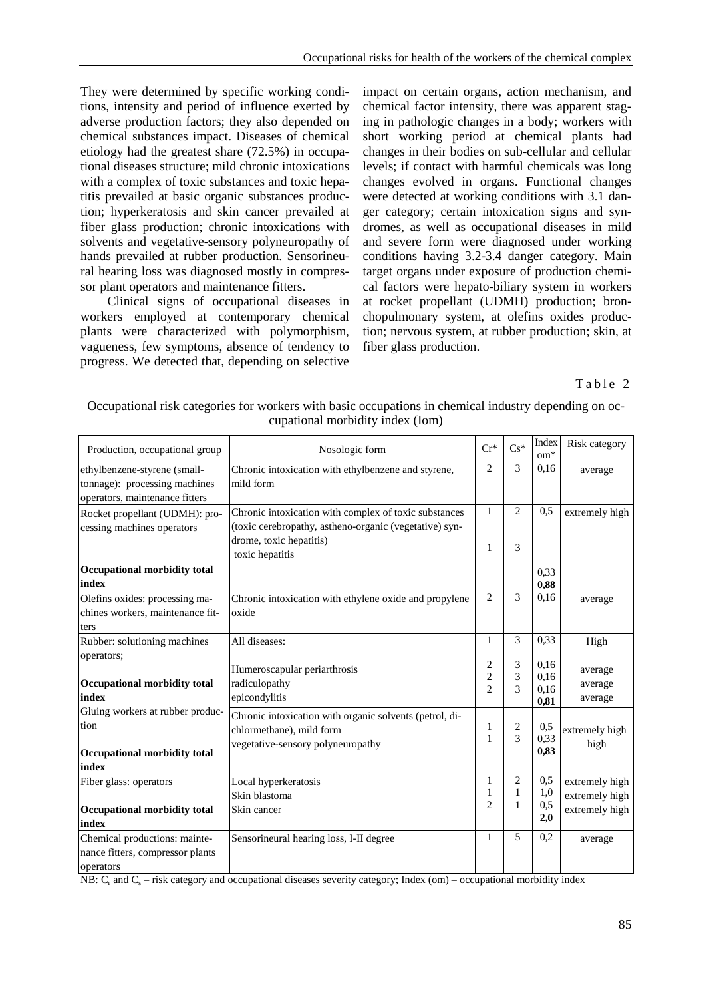They were determined by specific working conditions, intensity and period of influence exerted by adverse production factors; they also depended on chemical substances impact. Diseases of chemical etiology had the greatest share (72.5%) in occupational diseases structure; mild chronic intoxications with a complex of toxic substances and toxic hepatitis prevailed at basic organic substances production; hyperkeratosis and skin cancer prevailed at fiber glass production; chronic intoxications with solvents and vegetative-sensory polyneuropathy of hands prevailed at rubber production. Sensorineural hearing loss was diagnosed mostly in compressor plant operators and maintenance fitters.

Clinical signs of occupational diseases in workers employed at contemporary chemical plants were characterized with polymorphism, vagueness, few symptoms, absence of tendency to progress. We detected that, depending on selective impact on certain organs, action mechanism, and chemical factor intensity, there was apparent staging in pathologic changes in a body; workers with short working period at chemical plants had changes in their bodies on sub-cellular and cellular levels; if contact with harmful chemicals was long changes evolved in organs. Functional changes were detected at working conditions with 3.1 danger category; certain intoxication signs and syndromes, as well as occupational diseases in mild and severe form were diagnosed under working conditions having 3.2-3.4 danger category. Main target organs under exposure of production chemical factors were hepato-biliary system in workers at rocket propellant (UDMH) production; bronchopulmonary system, at olefins oxides production; nervous system, at rubber production; skin, at fiber glass production.

## Table 2

| Production, occupational group                                                                        | Nosologic form                                                                                                                                                | $Cr^*$                                | $Cs*$                    | Index<br>$\mathrm{om}^*$     | Risk category                                      |
|-------------------------------------------------------------------------------------------------------|---------------------------------------------------------------------------------------------------------------------------------------------------------------|---------------------------------------|--------------------------|------------------------------|----------------------------------------------------|
| ethylbenzene-styrene (small-<br>tonnage): processing machines<br>operators, maintenance fitters       | Chronic intoxication with ethylbenzene and styrene,<br>mild form                                                                                              | $\overline{2}$                        | 3                        | 0,16                         | average                                            |
| Rocket propellant (UDMH): pro-<br>cessing machines operators<br>Occupational morbidity total<br>index | Chronic intoxication with complex of toxic substances<br>(toxic cerebropathy, astheno-organic (vegetative) syn-<br>drome, toxic hepatitis)<br>toxic hepatitis | $\mathbf{1}$<br>1                     | $\overline{c}$<br>3      | 0,5<br>0,33<br>0.88          | extremely high                                     |
| Olefins oxides: processing ma-<br>chines workers, maintenance fit-<br>ters                            | Chronic intoxication with ethylene oxide and propylene<br>oxide                                                                                               | 2                                     | 3                        | 0,16                         | average                                            |
| Rubber: solutioning machines                                                                          | All diseases:                                                                                                                                                 | 1                                     | 3                        | 0,33                         | High                                               |
| operators;<br>Occupational morbidity total<br>index                                                   | Humeroscapular periarthrosis<br>radiculopathy<br>epicondylitis                                                                                                | 2<br>$\overline{c}$<br>$\overline{2}$ | 3<br>3<br>3              | 0,16<br>0,16<br>0,16<br>0,81 | average<br>average<br>average                      |
| Gluing workers at rubber produc-<br>tion<br>Occupational morbidity total<br>index                     | Chronic intoxication with organic solvents (petrol, di-<br>chlormethane), mild form<br>vegetative-sensory polyneuropathy                                      | 1<br>1                                | 2<br>3                   | 0,5<br>0,33<br>0,83          | extremely high<br>high                             |
| Fiber glass: operators<br>Occupational morbidity total<br>index                                       | Local hyperkeratosis<br>Skin blastoma<br>Skin cancer                                                                                                          | 1<br>1<br>$\overline{2}$              | $\overline{c}$<br>1<br>1 | 0,5<br>1,0<br>0.5<br>2,0     | extremely high<br>extremely high<br>extremely high |
| Chemical productions: mainte-<br>nance fitters, compressor plants<br>operators                        | Sensorineural hearing loss, I-II degree                                                                                                                       | $\mathbf{1}$                          | 5                        | 0.2                          | average                                            |

Occupational risk categories for workers with basic occupations in chemical industry depending on occupational morbidity index (Iom)

NB:  $C_r$  and  $C_s$  – risk category and occupational diseases severity category; Index (om) – occupational morbidity index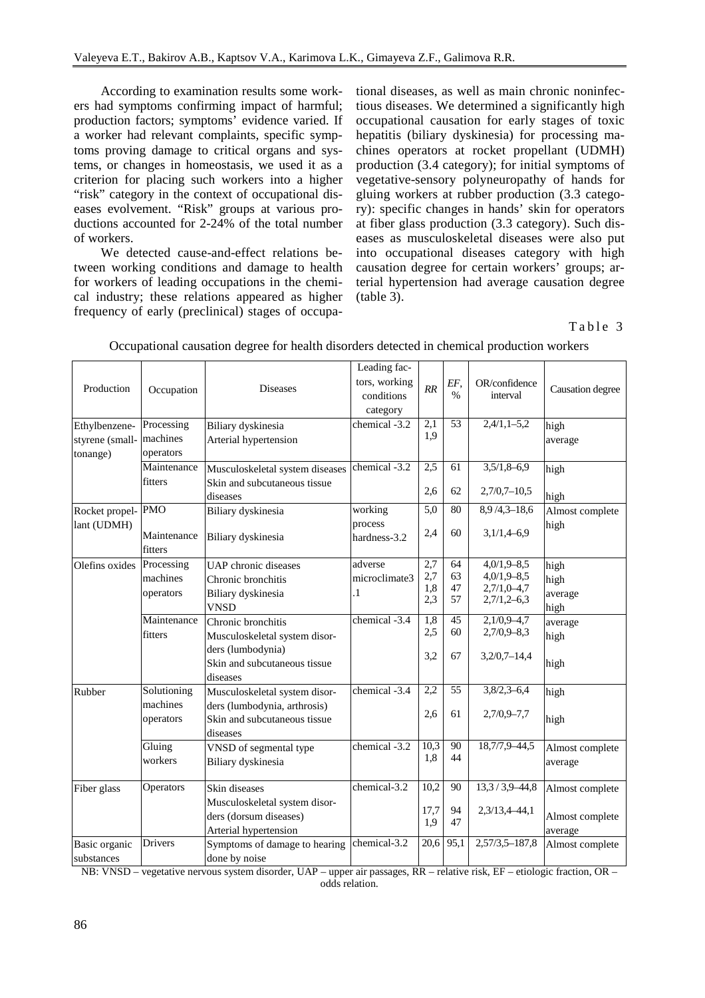According to examination results some workers had symptoms confirming impact of harmful; production factors; symptoms' evidence varied. If a worker had relevant complaints, specific symptoms proving damage to critical organs and systems, or changes in homeostasis, we used it as a criterion for placing such workers into a higher "risk" category in the context of occupational diseases evolvement. "Risk" groups at various productions accounted for 2-24% of the total number of workers.

We detected cause-and-effect relations between working conditions and damage to health for workers of leading occupations in the chemical industry; these relations appeared as higher frequency of early (preclinical) stages of occupational diseases, as well as main chronic noninfectious diseases. We determined a significantly high occupational causation for early stages of toxic hepatitis (biliary dyskinesia) for processing machines operators at rocket propellant (UDMH) production (3.4 category); for initial symptoms of vegetative-sensory polyneuropathy of hands for gluing workers at rubber production (3.3 category): specific changes in hands' skin for operators at fiber glass production (3.3 category). Such diseases as musculoskeletal diseases were also put into occupational diseases category with high causation degree for certain workers' groups; arterial hypertension had average causation degree (table 3).

### Table 3

|                 |             |                                 | Leading fac-  |                   |          |                                |                  |
|-----------------|-------------|---------------------------------|---------------|-------------------|----------|--------------------------------|------------------|
| Production      | Occupation  | <b>Diseases</b>                 | tors, working |                   | EF,      | OR/confidence<br>interval      |                  |
|                 |             |                                 | conditions    | RR                | $\%$     |                                | Causation degree |
|                 |             |                                 | category      |                   |          |                                |                  |
| Ethylbenzene-   | Processing  | Biliary dyskinesia              | chemical -3.2 | 2,1               | 53       | $2,4/1,1-5,2$                  | high             |
| styrene (small- | machines    | Arterial hypertension           |               | 1,9               |          |                                | average          |
| tonange)        | operators   |                                 |               |                   |          |                                |                  |
|                 | Maintenance | Musculoskeletal system diseases | chemical -3.2 | 2,5               | 61       | $3,5/1,8-6,9$                  | high             |
|                 | fitters     | Skin and subcutaneous tissue    |               |                   |          |                                |                  |
|                 |             | diseases                        |               | 2,6               | 62       | $2,7/0,7-10,5$                 | high             |
| Rocket propel-  | <b>PMO</b>  | Biliary dyskinesia              | working       | 5,0               | 80       | $8,9/4,3-18,6$                 | Almost complete  |
| lant (UDMH)     |             |                                 | process       |                   |          |                                | high             |
|                 | Maintenance | Biliary dyskinesia              | hardness-3.2  | 2,4               | 60       | $3,1/1,4-6,9$                  |                  |
|                 | fitters     |                                 |               |                   |          |                                |                  |
| Olefins oxides  | Processing  | UAP chronic diseases            | adverse       | 2,7               | 64       | $4,0/1,9-8,5$                  | high             |
|                 | machines    | Chronic bronchitis              | microclimate3 | 2,7<br>1,8        | 63<br>47 | $4,0/1,9-8,5$<br>$2,7/1,0-4,7$ | high             |
|                 | operators   | Biliary dyskinesia              | $\cdot$       | 2,3               | 57       | $2,7/1,2-6,3$                  | average          |
|                 |             | <b>VNSD</b>                     |               |                   |          |                                | high             |
|                 | Maintenance | Chronic bronchitis              | chemical -3.4 | $\overline{1,8}$  | 45       | $2,1/0,9-4,7$                  | average          |
|                 | fitters     | Musculoskeletal system disor-   |               | 2,5               | 60       | $2,7/0,9-8,3$                  | high             |
|                 |             | ders (lumbodynia)               |               | 3,2               | 67       | $3,2/0,7-14,4$                 |                  |
|                 |             | Skin and subcutaneous tissue    |               |                   |          |                                | high             |
|                 |             | diseases                        |               |                   |          |                                |                  |
| Rubber          | Solutioning | Musculoskeletal system disor-   | chemical -3.4 | 2,2               | 55       | $3,8/2,3-6,4$                  | high             |
|                 | machines    | ders (lumbodynia, arthrosis)    |               | 2,6               | 61       | $2,7/0,9-7,7$                  |                  |
|                 | operators   | Skin and subcutaneous tissue    |               |                   |          |                                | high             |
|                 |             | diseases                        |               |                   |          |                                |                  |
|                 | Gluing      | VNSD of segmental type          | chemical -3.2 | 10,3<br>1,8       | 90<br>44 | 18,7/7,9-44,5                  | Almost complete  |
|                 | workers     | Biliary dyskinesia              |               |                   |          |                                | average          |
| Fiber glass     | Operators   | Skin diseases                   | chemical-3.2  | 10,2              | 90       | $\overline{13,3/3,9}$ -44,8    | Almost complete  |
|                 |             | Musculoskeletal system disor-   |               |                   |          |                                |                  |
|                 |             | ders (dorsum diseases)          |               | 17,7<br>1,9       | 94<br>47 | 2,3/13,4-44,1                  | Almost complete  |
|                 |             | Arterial hypertension           |               |                   |          |                                | average          |
| Basic organic   | Drivers     | Symptoms of damage to hearing   | chemical-3.2  | $\overline{20,6}$ | 95,1     | $2,57/3,5-187,8$               | Almost complete  |
| substances      |             | done by noise                   |               |                   |          |                                |                  |

Occupational causation degree for health disorders detected in chemical production workers

NB: VNSD – vegetative nervous system disorder, UAP – upper air passages, RR – relative risk, EF – etiologic fraction, OR – odds relation.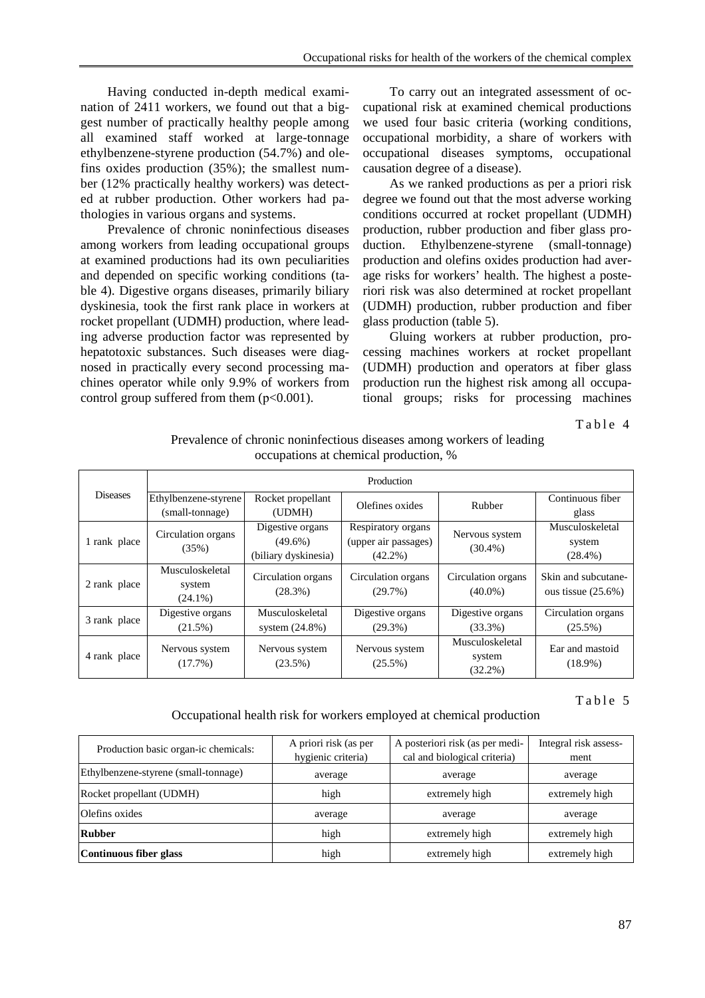Having conducted in-depth medical examination of 2411 workers, we found out that a biggest number of practically healthy people among all examined staff worked at large-tonnage ethylbenzene-styrene production (54.7%) and olefins oxides production (35%); the smallest number (12% practically healthy workers) was detected at rubber production. Other workers had pathologies in various organs and systems.

Prevalence of chronic noninfectious diseases among workers from leading occupational groups at examined productions had its own peculiarities and depended on specific working conditions (table 4). Digestive organs diseases, primarily biliary dyskinesia, took the first rank place in workers at rocket propellant (UDMH) production, where leading adverse production factor was represented by hepatotoxic substances. Such diseases were diagnosed in practically every second processing machines operator while only 9.9% of workers from control group suffered from them  $(p<0.001)$ .

To carry out an integrated assessment of occupational risk at examined chemical productions we used four basic criteria (working conditions, occupational morbidity, a share of workers with occupational diseases symptoms, occupational causation degree of a disease).

As we ranked productions as per a priori risk degree we found out that the most adverse working conditions occurred at rocket propellant (UDMH) production, rubber production and fiber glass production. Ethylbenzene-styrene (small-tonnage) production and olefins oxides production had average risks for workers' health. The highest a posteriori risk was also determined at rocket propellant (UDMH) production, rubber production and fiber glass production (table 5).

Gluing workers at rubber production, processing machines workers at rocket propellant (UDMH) production and operators at fiber glass production run the highest risk among all occupational groups; risks for processing machines

Table 4

| Prevalence of chronic noninfectious diseases among workers of leading |
|-----------------------------------------------------------------------|
| occupations at chemical production, %                                 |

|                 | Production                              |                                                        |                                                          |                                         |                                              |  |  |  |
|-----------------|-----------------------------------------|--------------------------------------------------------|----------------------------------------------------------|-----------------------------------------|----------------------------------------------|--|--|--|
| <b>Diseases</b> | Ethylbenzene-styrene<br>(small-tonnage) | Rocket propellant<br>(UDMH)                            | Olefines oxides                                          | Rubber                                  | Continuous fiber<br>glass                    |  |  |  |
| 1 rank place    | Circulation organs<br>(35%)             | Digestive organs<br>$(49.6\%)$<br>(biliary dyskinesia) | Respiratory organs<br>(upper air passages)<br>$(42.2\%)$ | Nervous system<br>$(30.4\%)$            | Musculoskeletal<br>system<br>$(28.4\%)$      |  |  |  |
| 2 rank place    | Musculoskeletal<br>system<br>$(24.1\%)$ | Circulation organs<br>(28.3%)                          | Circulation organs<br>(29.7%)                            | Circulation organs<br>$(40.0\%)$        | Skin and subcutane-<br>ous tissue $(25.6\%)$ |  |  |  |
| 3 rank place    | Digestive organs<br>$(21.5\%)$          | Musculoskeletal<br>system $(24.8\%)$                   | Digestive organs<br>$(29.3\%)$                           | Digestive organs<br>$(33.3\%)$          | Circulation organs<br>$(25.5\%)$             |  |  |  |
| 4 rank place    | Nervous system<br>$(17.7\%)$            | Nervous system<br>$(23.5\%)$                           | Nervous system<br>$(25.5\%)$                             | Musculoskeletal<br>system<br>$(32.2\%)$ | Ear and mastoid<br>$(18.9\%)$                |  |  |  |

#### Table 5

#### Occupational health risk for workers employed at chemical production

| Production basic organ-ic chemicals: | A priori risk (as per<br>hygienic criteria) | A posteriori risk (as per medi-<br>cal and biological criteria) | Integral risk assess-<br>ment |  |
|--------------------------------------|---------------------------------------------|-----------------------------------------------------------------|-------------------------------|--|
| Ethylbenzene-styrene (small-tonnage) | average                                     | average                                                         | average                       |  |
| Rocket propellant (UDMH)             | high                                        | extremely high                                                  | extremely high                |  |
| Olefins oxides                       | average                                     | average                                                         | average                       |  |
| <b>Rubber</b>                        | high                                        | extremely high                                                  | extremely high                |  |
| Continuous fiber glass               | high                                        | extremely high                                                  | extremely high                |  |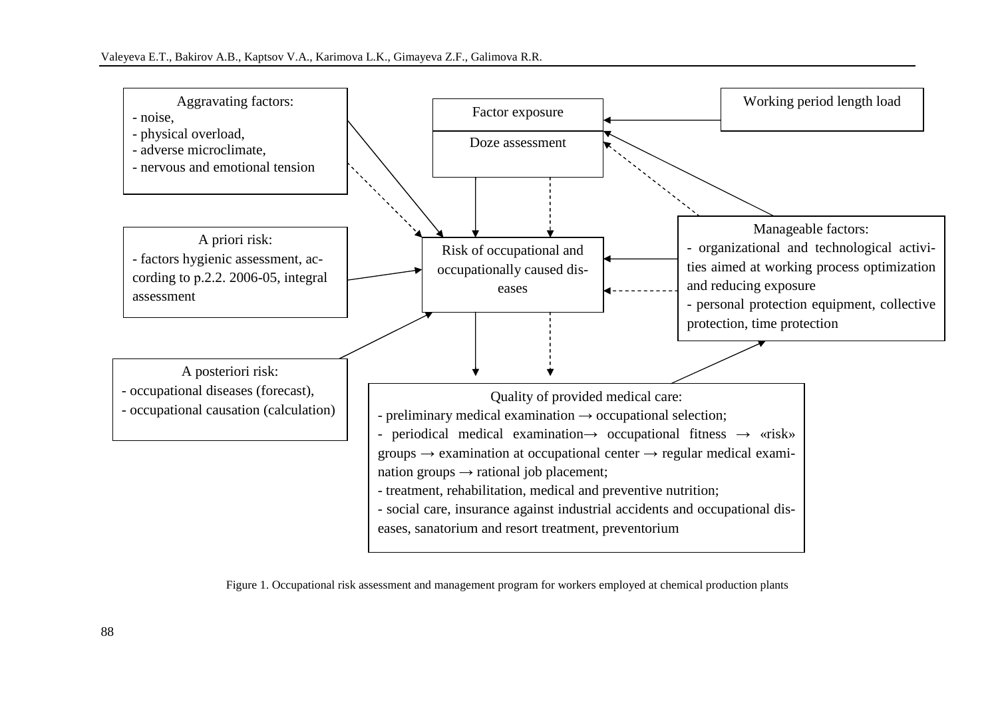

Figure 1. Occupational risk assessment and management program for workers employed at chemical production plants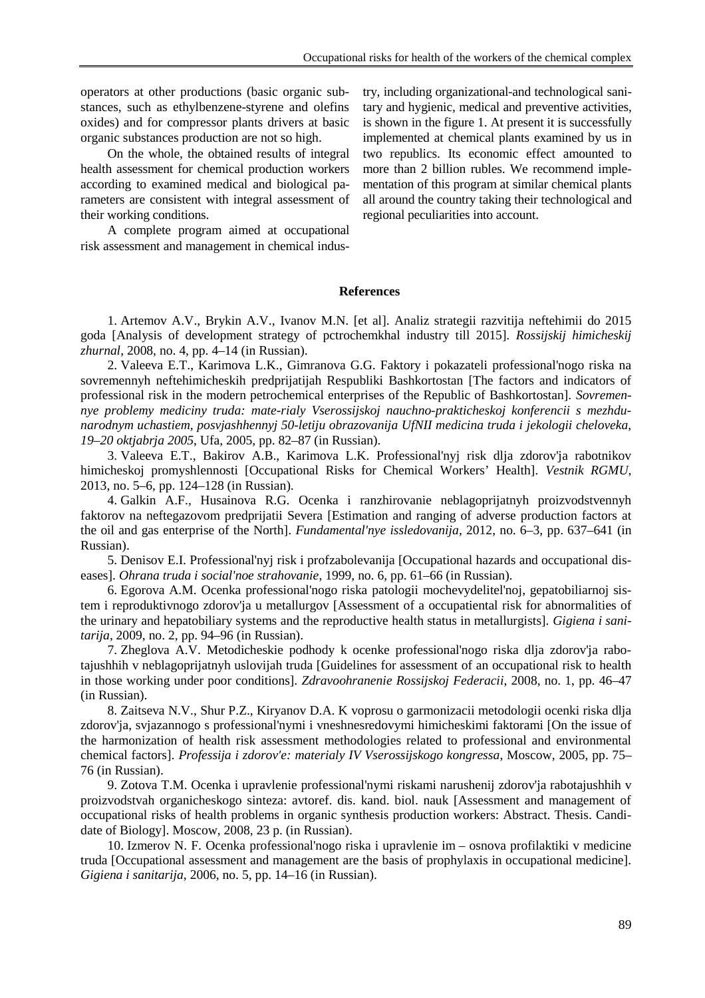operators at other productions (basic organic substances, such as ethylbenzene-styrene and olefins oxides) and for compressor plants drivers at basic organic substances production are not so high.

On the whole, the obtained results of integral health assessment for chemical production workers according to examined medical and biological parameters are consistent with integral assessment of their working conditions.

A complete program aimed at occupational risk assessment and management in chemical industry, including organizational-and technological sanitary and hygienic, medical and preventive activities, is shown in the figure 1. At present it is successfully implemented at chemical plants examined by us in two republics. Its economic effect amounted to more than 2 billion rubles. We recommend implementation of this program at similar chemical plants all around the country taking their technological and regional peculiarities into account.

#### **References**

1. Artemov A.V., Brykin A.V., Ivanov M.N. [et al]. Analiz strategii razvitija neftehimii do 2015 goda [Analysis of development strategy of pctrochemkhal industry till 2015]. *Rossijskij himicheskij zhurnal*, 2008, no. 4, pp. 4–14 (in Russian).

2. Valeeva E.T., Karimova L.K., Gimranova G.G. Faktory i pokazateli professional'nogo riska na sovremennyh neftehimicheskih predprijatijah Respubliki Bashkortostan [The factors and indicators of professional risk in the modern petrochemical enterprises of the Republic of Bashkortostan]. *Sovremennye problemy mediciny truda: mate-rialy Vserossijskoj nauchno-prakticheskoj konferencii s mezhdunarodnym uchastiem, posvjashhennyj 50-letiju obrazovanija UfNII medicina truda i jekologii cheloveka, 19–20 oktjabrja 2005*, Ufa, 2005, pp. 82–87 (in Russian).

3. Valeeva E.T., Bakirov A.B., Karimova L.K. Professional'nyj risk dlja zdorov'ja rabotnikov himicheskoj promyshlennosti [Occupational Risks for Chemical Workers' Health]. *Vestnik RGMU*, 2013, no. 5–6, pp. 124–128 (in Russian).

4. Galkin A.F., Husainova R.G. Ocenka i ranzhirovanie neblagoprijatnyh proizvodstvennyh faktorov na neftegazovom predprijatii Severa [Estimation and ranging of adverse production factors at the oil and gas enterprise of the North]. *Fundamental'nye issledovanija*, 2012, no. 6–3, pp. 637–641 (in Russian).

5. Denisov E.I. Professional'nyj risk i profzabolevanija [Occupational hazards and occupational diseases]. *Ohrana truda i social'noe strahovanie*, 1999, no. 6, pp. 61–66 (in Russian).

6. Egorova A.M. Ocenka professional'nogo riska patologii mochevydelitel'noj, gepatobiliarnoj sistem i reproduktivnogo zdorov'ja u metallurgov [Assessment of a occupatiental risk for abnormalities of the urinary and hepatobiliary systems and the reproductive health status in metallurgists]. *Gigiena i sanitarija*, 2009, no. 2, pp. 94–96 (in Russian).

7. Zheglova A.V. Metodicheskie podhody k ocenke professional'nogo riska dlja zdorov'ja rabotajushhih v neblagoprijatnyh uslovijah truda [Guidelines for assessment of an occupational risk to health in those working under poor conditions]. *Zdravoohranenie Rossijskoj Federacii*, 2008, no. 1, pp. 46–47 (in Russian).

8. Zaitseva N.V., Shur P.Z., Kiryanov D.A. K voprosu o garmonizacii metodologii ocenki riska dlja zdorov'ja, svjazannogo s professional'nymi i vneshnesredovymi himicheskimi faktorami [On the issue of the harmonization of health risk assessment methodologies related to professional and environmental chemical factors]. *Professija i zdorov'e: materialy IV Vserossijskogo kongressa*, Moscow, 2005, pp. 75– 76 (in Russian).

9. Zotova T.M. Ocenka i upravlenie professional'nymi riskami narushenij zdorov'ja rabotajushhih v proizvodstvah organicheskogo sinteza: avtoref. dis. kand. biol. nauk [Assessment and management of occupational risks of health problems in organic synthesis production workers: Abstract. Thesis. Candidate of Biology]. Moscow, 2008, 23 p. (in Russian).

10. Izmerov N. F. Ocenka professional'nogo riska i upravlenie im – osnova profilaktiki v medicine truda [Occupational assessment and management are the basis of prophylaxis in occupational medicine]. *Gigiena i sanitarija*, 2006, no. 5, pp. 14–16 (in Russian).